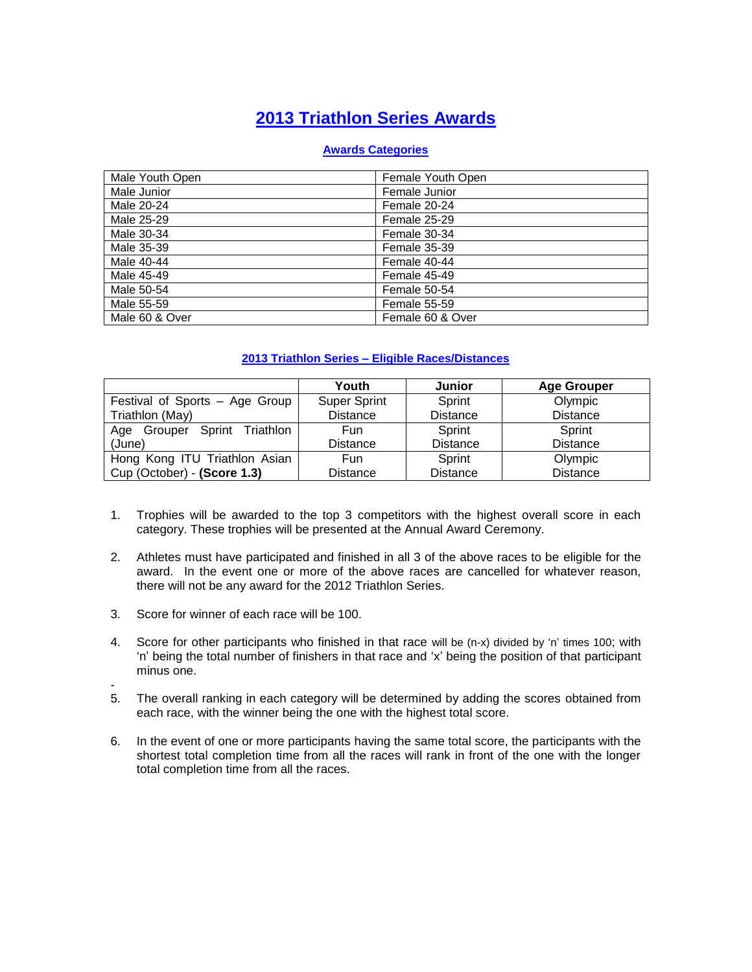# **2013 Triathlon Series Awards**

#### **Awards Categories**

| Male Youth Open | Female Youth Open   |
|-----------------|---------------------|
| Male Junior     | Female Junior       |
| Male 20-24      | Female 20-24        |
| Male 25-29      | Female 25-29        |
| Male 30-34      | Female 30-34        |
| Male 35-39      | Female 35-39        |
| Male 40-44      | Female 40-44        |
| Male 45-49      | Female 45-49        |
| Male 50-54      | Female 50-54        |
| Male 55-59      | <b>Female 55-59</b> |
| Male 60 & Over  | Female 60 & Over    |

### **2013 Triathlon Series – Eligible Races/Distances**

|                                 | Youth               | Junior          | <b>Age Grouper</b> |
|---------------------------------|---------------------|-----------------|--------------------|
| Festival of Sports - Age Group  | <b>Super Sprint</b> | Sprint          | Olympic            |
| Triathlon (May)                 | <b>Distance</b>     | <b>Distance</b> | <b>Distance</b>    |
| Grouper Sprint Triathlon<br>Age | Fun                 | Sprint          | Sprint             |
| (June)                          | <b>Distance</b>     | <b>Distance</b> | <b>Distance</b>    |
| Hong Kong ITU Triathlon Asian   | Fun                 | Sprint          | Olympic            |
| Cup (October) - (Score 1.3)     | <b>Distance</b>     | <b>Distance</b> | <b>Distance</b>    |

- 1. Trophies will be awarded to the top 3 competitors with the highest overall score in each category. These trophies will be presented at the Annual Award Ceremony.
- 2. Athletes must have participated and finished in all 3 of the above races to be eligible for the award. In the event one or more of the above races are cancelled for whatever reason, there will not be any award for the 2012 Triathlon Series.
- 3. Score for winner of each race will be 100.
- 4. Score for other participants who finished in that race will be (n-x) divided by 'n' times 100; with 'n' being the total number of finishers in that race and 'x' being the position of that participant minus one.
- 5. The overall ranking in each category will be determined by adding the scores obtained from each race, with the winner being the one with the highest total score.
- 6. In the event of one or more participants having the same total score, the participants with the shortest total completion time from all the races will rank in front of the one with the longer total completion time from all the races.